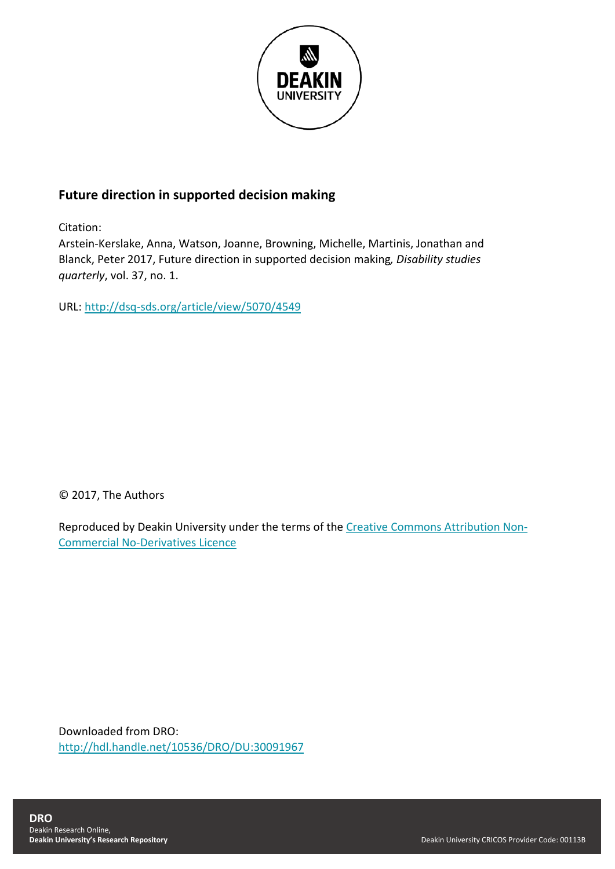

# **Future direction in supported decision making**

Citation:

Arstein-Kerslake, Anna, Watson, Joanne, Browning, Michelle, Martinis, Jonathan and Blanck, Peter 2017, Future direction in supported decision making*, Disability studies quarterly*, vol. 37, no. 1.

URL:<http://dsq-sds.org/article/view/5070/4549>

© 2017, The Authors

Reproduced by Deakin University under the terms of the [Creative Commons Attribution Non-](https://creativecommons.org/licenses/by-nc-nd/4.0/)[Commercial No-Derivatives Licence](https://creativecommons.org/licenses/by-nc-nd/4.0/)

Downloaded from DRO: <http://hdl.handle.net/10536/DRO/DU:30091967>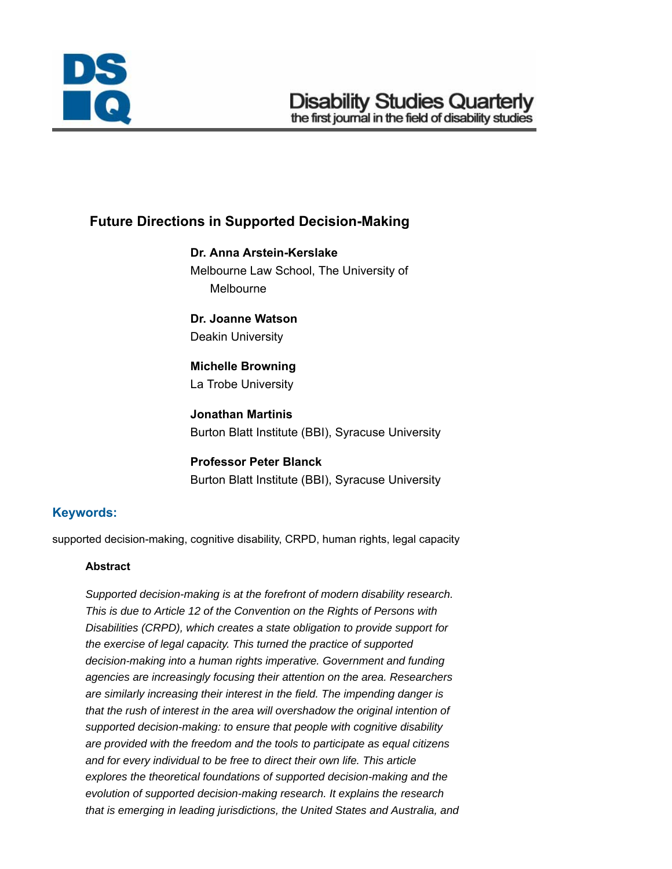

# **Future Directions in Supported Decision-Making**

**Dr. Anna Arstein-Kerslake** Melbourne Law School, The University of Melbourne

**Dr. Joanne Watson** Deakin University

**Michelle Browning** La Trobe University

**Jonathan Martinis** Burton Blatt Institute (BBI), Syracuse University

**Professor Peter Blanck** Burton Blatt Institute (BBI), Syracuse University

# **Keywords:**

supported decision-making, cognitive disability, CRPD, human rights, legal capacity

#### **Abstract**

*Supported decision-making is at the forefront of modern disability research. This is due to Article 12 of the Convention on the Rights of Persons with Disabilities (CRPD), which creates a state obligation to provide support for the exercise of legal capacity. This turned the practice of supported decision-making into a human rights imperative. Government and funding agencies are increasingly focusing their attention on the area. Researchers are similarly increasing their interest in the field. The impending danger is that the rush of interest in the area will overshadow the original intention of supported decision-making: to ensure that people with cognitive disability are provided with the freedom and the tools to participate as equal citizens and for every individual to be free to direct their own life. This article explores the theoretical foundations of supported decision-making and the evolution of supported decision-making research. It explains the research that is emerging in leading jurisdictions, the United States and Australia, and*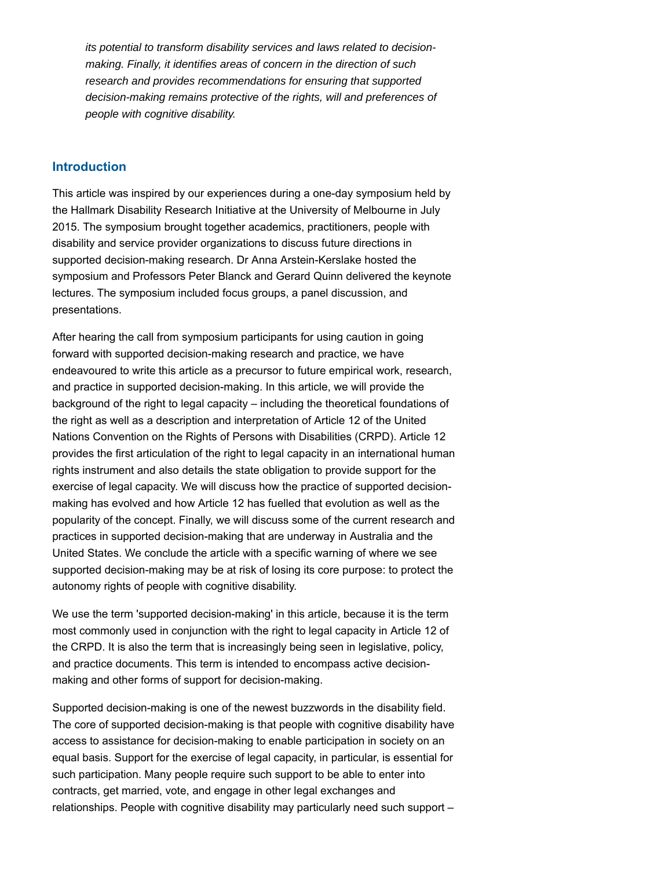*its potential to transform disability services and laws related to decisionmaking. Finally, it identifies areas of concern in the direction of such research and provides recommendations for ensuring that supported decision-making remains protective of the rights, will and preferences of people with cognitive disability.*

#### **Introduction**

This article was inspired by our experiences during a one-day symposium held by the Hallmark Disability Research Initiative at the University of Melbourne in July 2015. The symposium brought together academics, practitioners, people with disability and service provider organizations to discuss future directions in supported decision-making research. Dr Anna Arstein-Kerslake hosted the symposium and Professors Peter Blanck and Gerard Quinn delivered the keynote lectures. The symposium included focus groups, a panel discussion, and presentations.

After hearing the call from symposium participants for using caution in going forward with supported decision-making research and practice, we have endeavoured to write this article as a precursor to future empirical work, research, and practice in supported decision-making. In this article, we will provide the background of the right to legal capacity – including the theoretical foundations of the right as well as a description and interpretation of Article 12 of the United Nations Convention on the Rights of Persons with Disabilities (CRPD). Article 12 provides the first articulation of the right to legal capacity in an international human rights instrument and also details the state obligation to provide support for the exercise of legal capacity. We will discuss how the practice of supported decisionmaking has evolved and how Article 12 has fuelled that evolution as well as the popularity of the concept. Finally, we will discuss some of the current research and practices in supported decision-making that are underway in Australia and the United States. We conclude the article with a specific warning of where we see supported decision-making may be at risk of losing its core purpose: to protect the autonomy rights of people with cognitive disability.

We use the term 'supported decision-making' in this article, because it is the term most commonly used in conjunction with the right to legal capacity in Article 12 of the CRPD. It is also the term that is increasingly being seen in legislative, policy, and practice documents. This term is intended to encompass active decisionmaking and other forms of support for decision-making.

Supported decision-making is one of the newest buzzwords in the disability field. The core of supported decision-making is that people with cognitive disability have access to assistance for decision-making to enable participation in society on an equal basis. Support for the exercise of legal capacity, in particular, is essential for such participation. Many people require such support to be able to enter into contracts, get married, vote, and engage in other legal exchanges and relationships. People with cognitive disability may particularly need such support –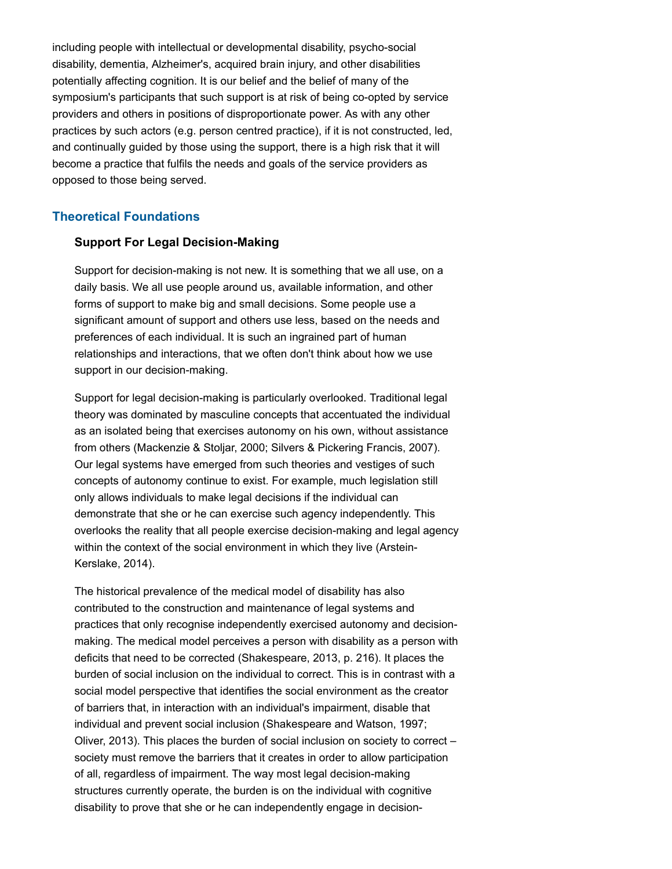including people with intellectual or developmental disability, psycho-social disability, dementia, Alzheimer's, acquired brain injury, and other disabilities potentially affecting cognition. It is our belief and the belief of many of the symposium's participants that such support is at risk of being co-opted by service providers and others in positions of disproportionate power. As with any other practices by such actors (e.g. person centred practice), if it is not constructed, led, and continually guided by those using the support, there is a high risk that it will become a practice that fulfils the needs and goals of the service providers as opposed to those being served.

### **Theoretical Foundations**

#### **Support For Legal Decision-Making**

Support for decision-making is not new. It is something that we all use, on a daily basis. We all use people around us, available information, and other forms of support to make big and small decisions. Some people use a significant amount of support and others use less, based on the needs and preferences of each individual. It is such an ingrained part of human relationships and interactions, that we often don't think about how we use support in our decision-making.

Support for legal decision-making is particularly overlooked. Traditional legal theory was dominated by masculine concepts that accentuated the individual as an isolated being that exercises autonomy on his own, without assistance from others (Mackenzie & Stoljar, 2000; Silvers & Pickering Francis, 2007). Our legal systems have emerged from such theories and vestiges of such concepts of autonomy continue to exist. For example, much legislation still only allows individuals to make legal decisions if the individual can demonstrate that she or he can exercise such agency independently. This overlooks the reality that all people exercise decision-making and legal agency within the context of the social environment in which they live (Arstein-Kerslake, 2014).

The historical prevalence of the medical model of disability has also contributed to the construction and maintenance of legal systems and practices that only recognise independently exercised autonomy and decisionmaking. The medical model perceives a person with disability as a person with deficits that need to be corrected (Shakespeare, 2013, p. 216). It places the burden of social inclusion on the individual to correct. This is in contrast with a social model perspective that identifies the social environment as the creator of barriers that, in interaction with an individual's impairment, disable that individual and prevent social inclusion (Shakespeare and Watson, 1997; Oliver, 2013). This places the burden of social inclusion on society to correct – society must remove the barriers that it creates in order to allow participation of all, regardless of impairment. The way most legal decision-making structures currently operate, the burden is on the individual with cognitive disability to prove that she or he can independently engage in decision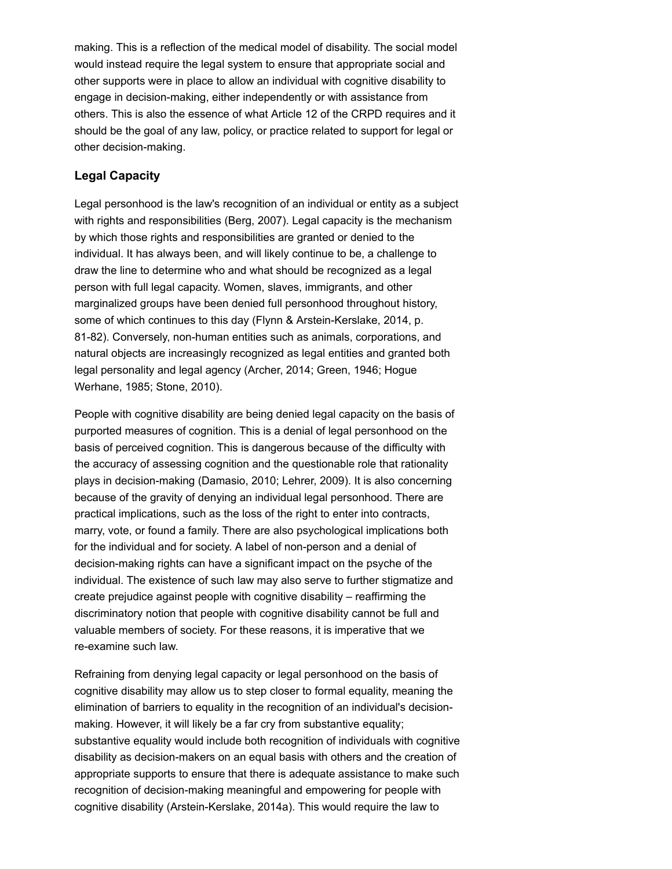making. This is a reflection of the medical model of disability. The social model would instead require the legal system to ensure that appropriate social and other supports were in place to allow an individual with cognitive disability to engage in decision-making, either independently or with assistance from others. This is also the essence of what Article 12 of the CRPD requires and it should be the goal of any law, policy, or practice related to support for legal or other decision-making.

## **Legal Capacity**

Legal personhood is the law's recognition of an individual or entity as a subject with rights and responsibilities (Berg, 2007). Legal capacity is the mechanism by which those rights and responsibilities are granted or denied to the individual. It has always been, and will likely continue to be, a challenge to draw the line to determine who and what should be recognized as a legal person with full legal capacity. Women, slaves, immigrants, and other marginalized groups have been denied full personhood throughout history, some of which continues to this day (Flynn & Arstein-Kerslake, 2014, p. 81-82). Conversely, non-human entities such as animals, corporations, and natural objects are increasingly recognized as legal entities and granted both legal personality and legal agency (Archer, 2014; Green, 1946; Hogue Werhane, 1985; Stone, 2010).

People with cognitive disability are being denied legal capacity on the basis of purported measures of cognition. This is a denial of legal personhood on the basis of perceived cognition. This is dangerous because of the difficulty with the accuracy of assessing cognition and the questionable role that rationality plays in decision-making (Damasio, 2010; Lehrer, 2009). It is also concerning because of the gravity of denying an individual legal personhood. There are practical implications, such as the loss of the right to enter into contracts, marry, vote, or found a family. There are also psychological implications both for the individual and for society. A label of non-person and a denial of decision-making rights can have a significant impact on the psyche of the individual. The existence of such law may also serve to further stigmatize and create prejudice against people with cognitive disability – reaffirming the discriminatory notion that people with cognitive disability cannot be full and valuable members of society. For these reasons, it is imperative that we re-examine such law.

Refraining from denying legal capacity or legal personhood on the basis of cognitive disability may allow us to step closer to formal equality, meaning the elimination of barriers to equality in the recognition of an individual's decisionmaking. However, it will likely be a far cry from substantive equality; substantive equality would include both recognition of individuals with cognitive disability as decision-makers on an equal basis with others and the creation of appropriate supports to ensure that there is adequate assistance to make such recognition of decision-making meaningful and empowering for people with cognitive disability (Arstein-Kerslake, 2014a). This would require the law to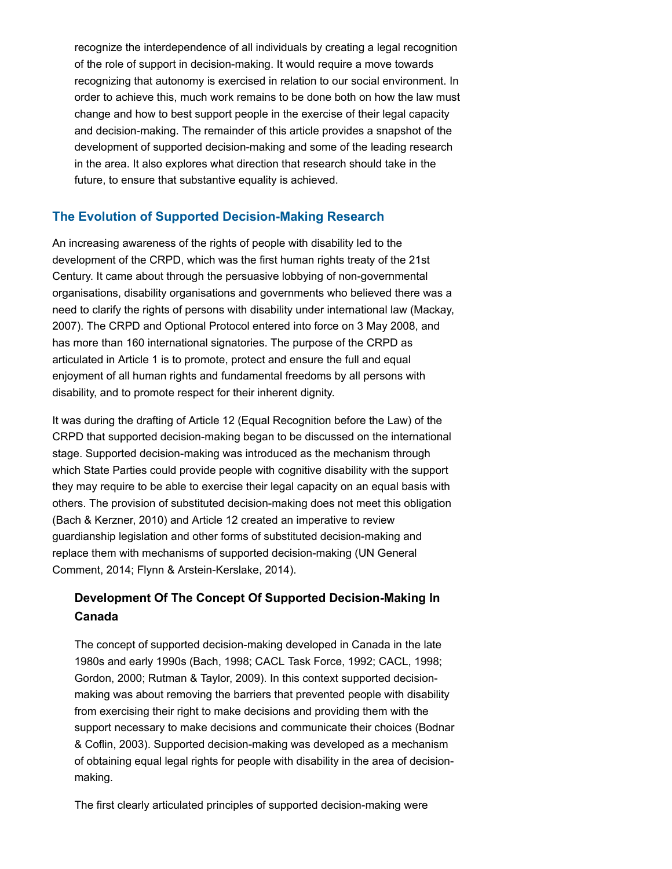recognize the interdependence of all individuals by creating a legal recognition of the role of support in decision-making. It would require a move towards recognizing that autonomy is exercised in relation to our social environment. In order to achieve this, much work remains to be done both on how the law must change and how to best support people in the exercise of their legal capacity and decision-making. The remainder of this article provides a snapshot of the development of supported decision-making and some of the leading research in the area. It also explores what direction that research should take in the future, to ensure that substantive equality is achieved.

# **The Evolution of Supported Decision-Making Research**

An increasing awareness of the rights of people with disability led to the development of the CRPD, which was the first human rights treaty of the 21st Century. It came about through the persuasive lobbying of non-governmental organisations, disability organisations and governments who believed there was a need to clarify the rights of persons with disability under international law (Mackay, 2007). The CRPD and Optional Protocol entered into force on 3 May 2008, and has more than 160 international signatories. The purpose of the CRPD as articulated in Article 1 is to promote, protect and ensure the full and equal enjoyment of all human rights and fundamental freedoms by all persons with disability, and to promote respect for their inherent dignity.

It was during the drafting of Article 12 (Equal Recognition before the Law) of the CRPD that supported decision-making began to be discussed on the international stage. Supported decision-making was introduced as the mechanism through which State Parties could provide people with cognitive disability with the support they may require to be able to exercise their legal capacity on an equal basis with others. The provision of substituted decision-making does not meet this obligation (Bach & Kerzner, 2010) and Article 12 created an imperative to review guardianship legislation and other forms of substituted decision-making and replace them with mechanisms of supported decision-making (UN General Comment, 2014; Flynn & Arstein-Kerslake, 2014).

# **Development Of The Concept Of Supported Decision-Making In Canada**

The concept of supported decision-making developed in Canada in the late 1980s and early 1990s (Bach, 1998; CACL Task Force, 1992; CACL, 1998; Gordon, 2000; Rutman & Taylor, 2009). In this context supported decisionmaking was about removing the barriers that prevented people with disability from exercising their right to make decisions and providing them with the support necessary to make decisions and communicate their choices (Bodnar & Coflin, 2003). Supported decision-making was developed as a mechanism of obtaining equal legal rights for people with disability in the area of decisionmaking.

The first clearly articulated principles of supported decision-making were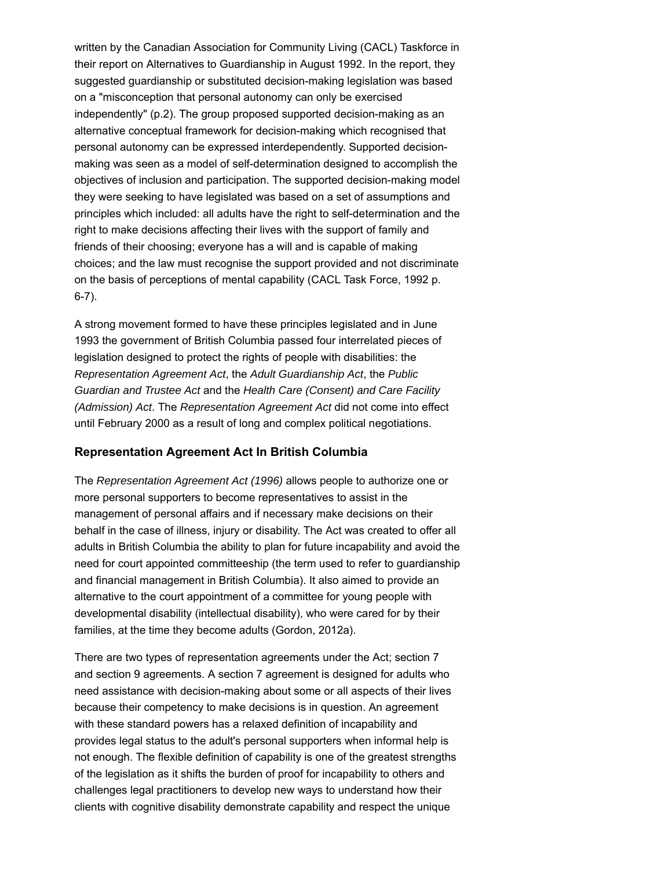written by the Canadian Association for Community Living (CACL) Taskforce in their report on Alternatives to Guardianship in August 1992. In the report, they suggested guardianship or substituted decision-making legislation was based on a "misconception that personal autonomy can only be exercised independently" (p.2). The group proposed supported decision-making as an alternative conceptual framework for decision-making which recognised that personal autonomy can be expressed interdependently. Supported decisionmaking was seen as a model of self-determination designed to accomplish the objectives of inclusion and participation. The supported decision-making model they were seeking to have legislated was based on a set of assumptions and principles which included: all adults have the right to self-determination and the right to make decisions affecting their lives with the support of family and friends of their choosing; everyone has a will and is capable of making choices; and the law must recognise the support provided and not discriminate on the basis of perceptions of mental capability (CACL Task Force, 1992 p. 6-7).

A strong movement formed to have these principles legislated and in June 1993 the government of British Columbia passed four interrelated pieces of legislation designed to protect the rights of people with disabilities: the *Representation Agreement Act*, the *Adult Guardianship Act*, the *Public Guardian and Trustee Act* and the *Health Care (Consent) and Care Facility (Admission) Act*. The *Representation Agreement Act* did not come into effect until February 2000 as a result of long and complex political negotiations.

#### **Representation Agreement Act In British Columbia**

The *Representation Agreement Act (1996)* allows people to authorize one or more personal supporters to become representatives to assist in the management of personal affairs and if necessary make decisions on their behalf in the case of illness, injury or disability. The Act was created to offer all adults in British Columbia the ability to plan for future incapability and avoid the need for court appointed committeeship (the term used to refer to guardianship and financial management in British Columbia). It also aimed to provide an alternative to the court appointment of a committee for young people with developmental disability (intellectual disability), who were cared for by their families, at the time they become adults (Gordon, 2012a).

There are two types of representation agreements under the Act; section 7 and section 9 agreements. A section 7 agreement is designed for adults who need assistance with decision-making about some or all aspects of their lives because their competency to make decisions is in question. An agreement with these standard powers has a relaxed definition of incapability and provides legal status to the adult's personal supporters when informal help is not enough. The flexible definition of capability is one of the greatest strengths of the legislation as it shifts the burden of proof for incapability to others and challenges legal practitioners to develop new ways to understand how their clients with cognitive disability demonstrate capability and respect the unique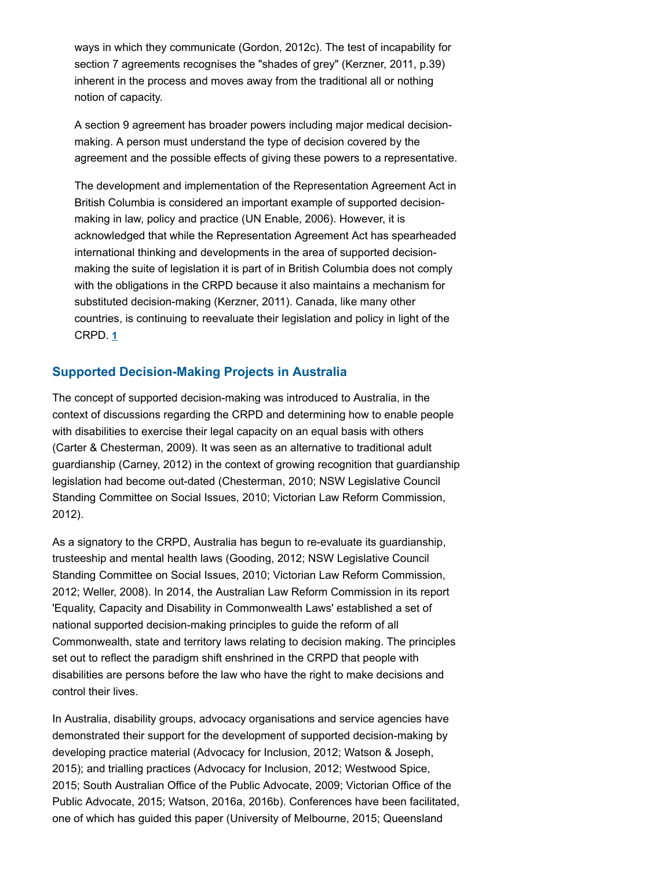ways in which they communicate (Gordon, 2012c). The test of incapability for section 7 agreements recognises the "shades of grey" (Kerzner, 2011, p.39) inherent in the process and moves away from the traditional all or nothing notion of capacity.

A section 9 agreement has broader powers including major medical decisionmaking. A person must understand the type of decision covered by the agreement and the possible effects of giving these powers to a representative.

The development and implementation of the Representation Agreement Act in British Columbia is considered an important example of supported decisionmaking in law, policy and practice (UN Enable, 2006). However, it is acknowledged that while the Representation Agreement Act has spearheaded international thinking and developments in the area of supported decisionmaking the suite of legislation it is part of in British Columbia does not comply with the obligations in the CRPD because it also maintains a mechanism for substituted decision-making (Kerzner, 2011). Canada, like many other countries, is continuing to reevaluate their legislation and policy in light of the CRPD. **1**

# **Supported Decision-Making Projects in Australia**

The concept of supported decision-making was introduced to Australia, in the context of discussions regarding the CRPD and determining how to enable people with disabilities to exercise their legal capacity on an equal basis with others (Carter & Chesterman, 2009). It was seen as an alternative to traditional adult guardianship (Carney, 2012) in the context of growing recognition that guardianship legislation had become out-dated (Chesterman, 2010; NSW Legislative Council Standing Committee on Social Issues, 2010; Victorian Law Reform Commission, 2012).

As a signatory to the CRPD, Australia has begun to re-evaluate its guardianship, trusteeship and mental health laws (Gooding, 2012; NSW Legislative Council Standing Committee on Social Issues, 2010; Victorian Law Reform Commission, 2012; Weller, 2008). In 2014, the Australian Law Reform Commission in its report 'Equality, Capacity and Disability in Commonwealth Laws' established a set of national supported decision-making principles to guide the reform of all Commonwealth, state and territory laws relating to decision making. The principles set out to reflect the paradigm shift enshrined in the CRPD that people with disabilities are persons before the law who have the right to make decisions and control their lives.

In Australia, disability groups, advocacy organisations and service agencies have demonstrated their support for the development of supported decision-making by developing practice material (Advocacy for Inclusion, 2012; Watson & Joseph, 2015); and trialling practices (Advocacy for Inclusion, 2012; Westwood Spice, 2015; South Australian Office of the Public Advocate, 2009; Victorian Office of the Public Advocate, 2015; Watson, 2016a, 2016b). Conferences have been facilitated, one of which has guided this paper (University of Melbourne, 2015; Queensland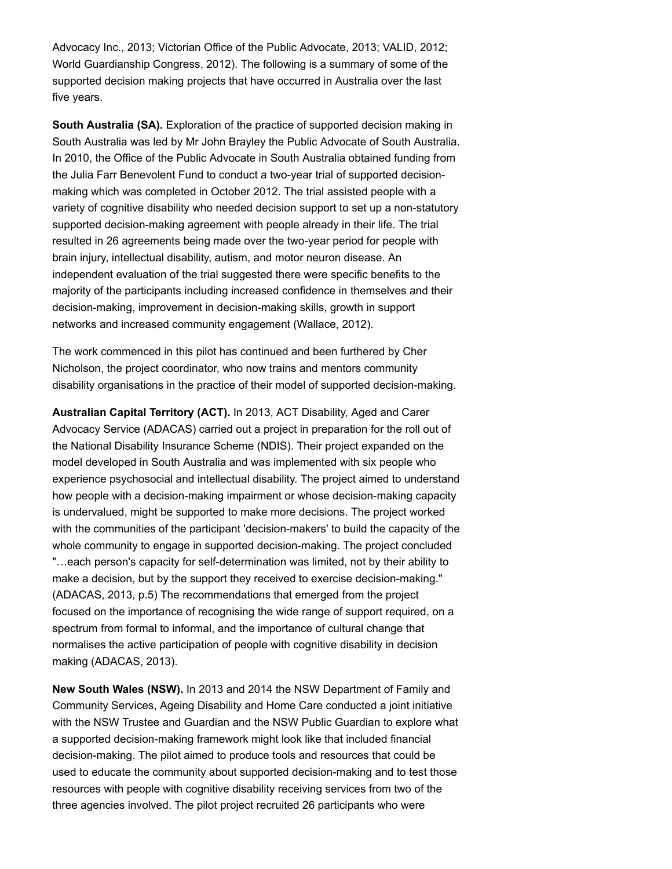Advocacy Inc., 2013; Victorian Office of the Public Advocate, 2013; VALID, 2012; World Guardianship Congress, 2012). The following is a summary of some of the supported decision making projects that have occurred in Australia over the last five years.

**South Australia (SA).** Exploration of the practice of supported decision making in South Australia was led by Mr John Brayley the Public Advocate of South Australia. In 2010, the Office of the Public Advocate in South Australia obtained funding from the Julia Farr Benevolent Fund to conduct a two-year trial of supported decisionmaking which was completed in October 2012. The trial assisted people with a variety of cognitive disability who needed decision support to set up a non-statutory supported decision-making agreement with people already in their life. The trial resulted in 26 agreements being made over the two-year period for people with brain injury, intellectual disability, autism, and motor neuron disease. An independent evaluation of the trial suggested there were specific benefits to the majority of the participants including increased confidence in themselves and their decision-making, improvement in decision-making skills, growth in support networks and increased community engagement (Wallace, 2012).

The work commenced in this pilot has continued and been furthered by Cher Nicholson, the project coordinator, who now trains and mentors community disability organisations in the practice of their model of supported decision-making.

**Australian Capital Territory (ACT).** In 2013, ACT Disability, Aged and Carer Advocacy Service (ADACAS) carried out a project in preparation for the roll out of the National Disability Insurance Scheme (NDIS). Their project expanded on the model developed in South Australia and was implemented with six people who experience psychosocial and intellectual disability. The project aimed to understand how people with a decision-making impairment or whose decision-making capacity is undervalued, might be supported to make more decisions. The project worked with the communities of the participant 'decision-makers' to build the capacity of the whole community to engage in supported decision-making. The project concluded "…each person's capacity for self-determination was limited, not by their ability to make a decision, but by the support they received to exercise decision-making." (ADACAS, 2013, p.5) The recommendations that emerged from the project focused on the importance of recognising the wide range of support required, on a spectrum from formal to informal, and the importance of cultural change that normalises the active participation of people with cognitive disability in decision making (ADACAS, 2013).

**New South Wales (NSW).** In 2013 and 2014 the NSW Department of Family and Community Services, Ageing Disability and Home Care conducted a joint initiative with the NSW Trustee and Guardian and the NSW Public Guardian to explore what a supported decision-making framework might look like that included financial decision-making. The pilot aimed to produce tools and resources that could be used to educate the community about supported decision-making and to test those resources with people with cognitive disability receiving services from two of the three agencies involved. The pilot project recruited 26 participants who were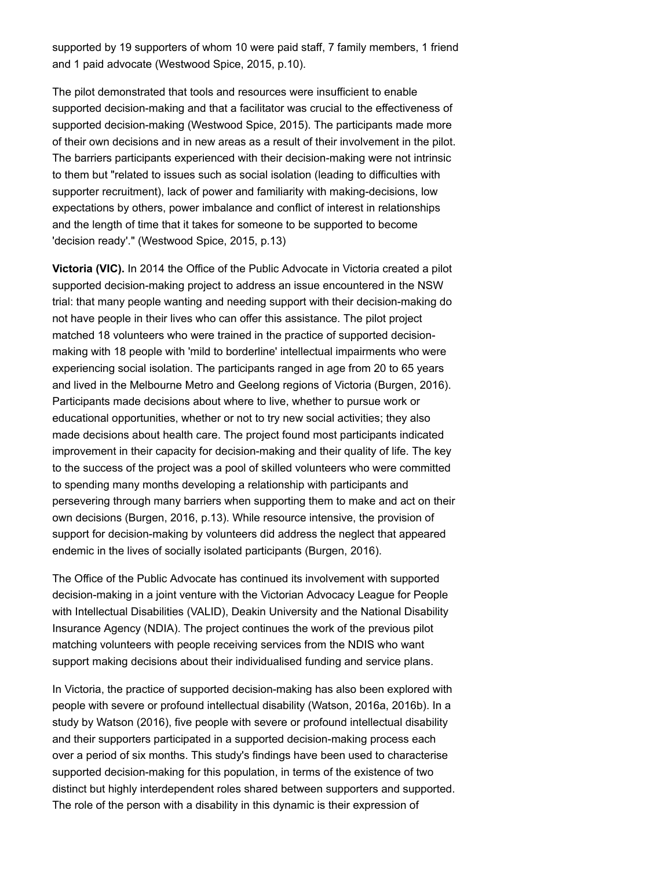supported by 19 supporters of whom 10 were paid staff, 7 family members, 1 friend and 1 paid advocate (Westwood Spice, 2015, p.10).

The pilot demonstrated that tools and resources were insufficient to enable supported decision-making and that a facilitator was crucial to the effectiveness of supported decision-making (Westwood Spice, 2015). The participants made more of their own decisions and in new areas as a result of their involvement in the pilot. The barriers participants experienced with their decision-making were not intrinsic to them but "related to issues such as social isolation (leading to difficulties with supporter recruitment), lack of power and familiarity with making-decisions, low expectations by others, power imbalance and conflict of interest in relationships and the length of time that it takes for someone to be supported to become 'decision ready'." (Westwood Spice, 2015, p.13)

**Victoria (VIC).** In 2014 the Office of the Public Advocate in Victoria created a pilot supported decision-making project to address an issue encountered in the NSW trial: that many people wanting and needing support with their decision-making do not have people in their lives who can offer this assistance. The pilot project matched 18 volunteers who were trained in the practice of supported decisionmaking with 18 people with 'mild to borderline' intellectual impairments who were experiencing social isolation. The participants ranged in age from 20 to 65 years and lived in the Melbourne Metro and Geelong regions of Victoria (Burgen, 2016). Participants made decisions about where to live, whether to pursue work or educational opportunities, whether or not to try new social activities; they also made decisions about health care. The project found most participants indicated improvement in their capacity for decision-making and their quality of life. The key to the success of the project was a pool of skilled volunteers who were committed to spending many months developing a relationship with participants and persevering through many barriers when supporting them to make and act on their own decisions (Burgen, 2016, p.13). While resource intensive, the provision of support for decision-making by volunteers did address the neglect that appeared endemic in the lives of socially isolated participants (Burgen, 2016).

The Office of the Public Advocate has continued its involvement with supported decision-making in a joint venture with the Victorian Advocacy League for People with Intellectual Disabilities (VALID), Deakin University and the National Disability Insurance Agency (NDIA). The project continues the work of the previous pilot matching volunteers with people receiving services from the NDIS who want support making decisions about their individualised funding and service plans.

In Victoria, the practice of supported decision-making has also been explored with people with severe or profound intellectual disability (Watson, 2016a, 2016b). In a study by Watson (2016), five people with severe or profound intellectual disability and their supporters participated in a supported decision-making process each over a period of six months. This study's findings have been used to characterise supported decision-making for this population, in terms of the existence of two distinct but highly interdependent roles shared between supporters and supported. The role of the person with a disability in this dynamic is their expression of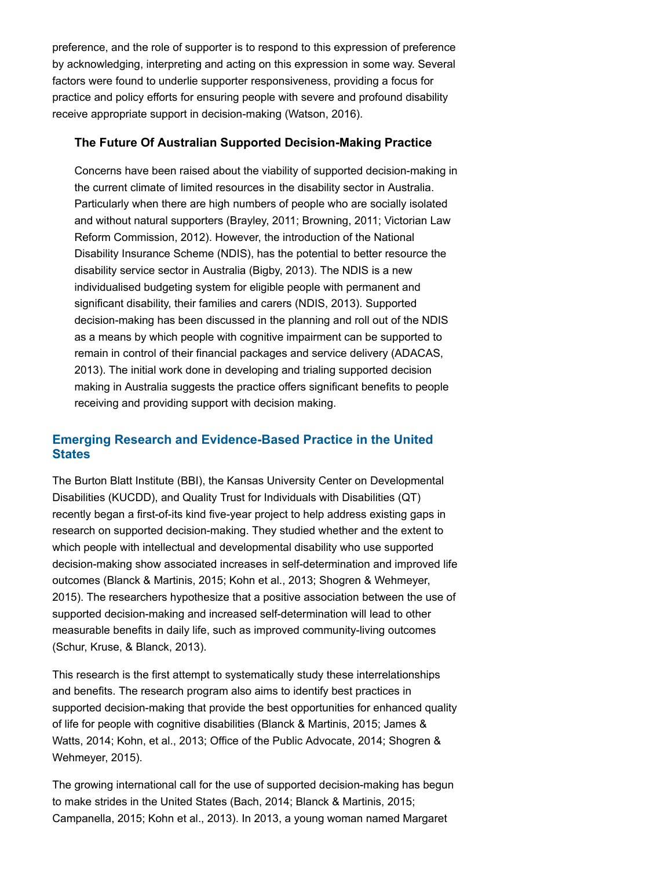preference, and the role of supporter is to respond to this expression of preference by acknowledging, interpreting and acting on this expression in some way. Several factors were found to underlie supporter responsiveness, providing a focus for practice and policy efforts for ensuring people with severe and profound disability receive appropriate support in decision-making (Watson, 2016).

#### **The Future Of Australian Supported Decision-Making Practice**

Concerns have been raised about the viability of supported decision-making in the current climate of limited resources in the disability sector in Australia. Particularly when there are high numbers of people who are socially isolated and without natural supporters (Brayley, 2011; Browning, 2011; Victorian Law Reform Commission, 2012). However, the introduction of the National Disability Insurance Scheme (NDIS), has the potential to better resource the disability service sector in Australia (Bigby, 2013). The NDIS is a new individualised budgeting system for eligible people with permanent and significant disability, their families and carers (NDIS, 2013). Supported decision-making has been discussed in the planning and roll out of the NDIS as a means by which people with cognitive impairment can be supported to remain in control of their financial packages and service delivery (ADACAS, 2013). The initial work done in developing and trialing supported decision making in Australia suggests the practice offers significant benefits to people receiving and providing support with decision making.

# **Emerging Research and Evidence-Based Practice in the United States**

The Burton Blatt Institute (BBI), the Kansas University Center on Developmental Disabilities (KUCDD), and Quality Trust for Individuals with Disabilities (QT) recently began a first-of-its kind five-year project to help address existing gaps in research on supported decision-making. They studied whether and the extent to which people with intellectual and developmental disability who use supported decision-making show associated increases in self-determination and improved life outcomes (Blanck & Martinis, 2015; Kohn et al., 2013; Shogren & Wehmeyer, 2015). The researchers hypothesize that a positive association between the use of supported decision-making and increased self-determination will lead to other measurable benefits in daily life, such as improved community-living outcomes (Schur, Kruse, & Blanck, 2013).

This research is the first attempt to systematically study these interrelationships and benefits. The research program also aims to identify best practices in supported decision-making that provide the best opportunities for enhanced quality of life for people with cognitive disabilities (Blanck & Martinis, 2015; James & Watts, 2014; Kohn, et al., 2013; Office of the Public Advocate, 2014; Shogren & Wehmeyer, 2015).

The growing international call for the use of supported decision-making has begun to make strides in the United States (Bach, 2014; Blanck & Martinis, 2015; Campanella, 2015; Kohn et al., 2013). In 2013, a young woman named Margaret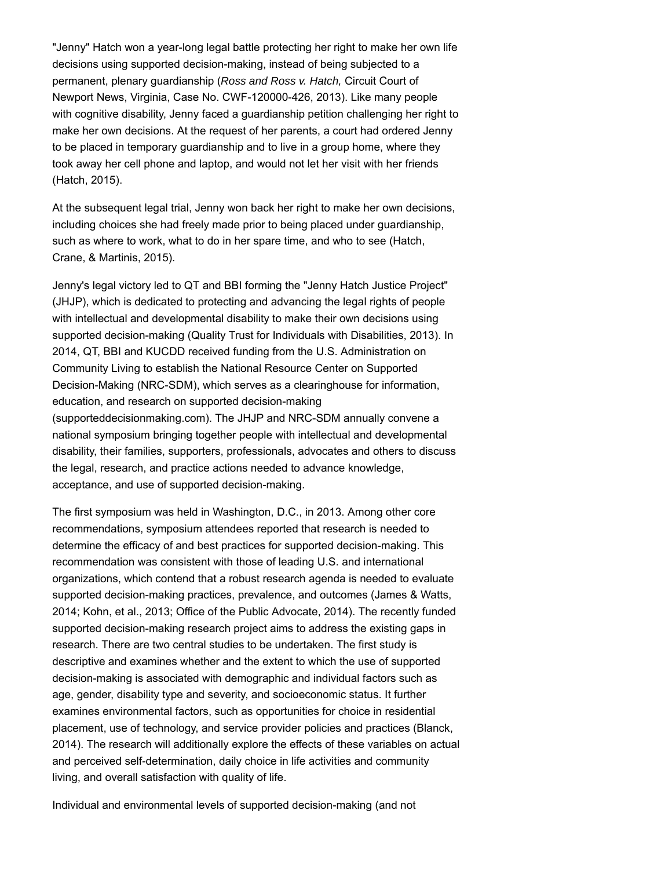"Jenny" Hatch won a year-long legal battle protecting her right to make her own life decisions using supported decision-making, instead of being subjected to a permanent, plenary guardianship (*Ross and Ross v. Hatch,* Circuit Court of Newport News, Virginia, Case No. CWF-120000-426, 2013). Like many people with cognitive disability, Jenny faced a guardianship petition challenging her right to make her own decisions. At the request of her parents, a court had ordered Jenny to be placed in temporary guardianship and to live in a group home, where they took away her cell phone and laptop, and would not let her visit with her friends (Hatch, 2015).

At the subsequent legal trial, Jenny won back her right to make her own decisions, including choices she had freely made prior to being placed under guardianship, such as where to work, what to do in her spare time, and who to see (Hatch, Crane, & Martinis, 2015).

Jenny's legal victory led to QT and BBI forming the "Jenny Hatch Justice Project" (JHJP), which is dedicated to protecting and advancing the legal rights of people with intellectual and developmental disability to make their own decisions using supported decision-making (Quality Trust for Individuals with Disabilities, 2013). In 2014, QT, BBI and KUCDD received funding from the U.S. Administration on Community Living to establish the National Resource Center on Supported Decision-Making (NRC-SDM), which serves as a clearinghouse for information, education, and research on supported decision-making (supporteddecisionmaking.com). The JHJP and NRC-SDM annually convene a national symposium bringing together people with intellectual and developmental disability, their families, supporters, professionals, advocates and others to discuss the legal, research, and practice actions needed to advance knowledge, acceptance, and use of supported decision-making.

The first symposium was held in Washington, D.C., in 2013. Among other core recommendations, symposium attendees reported that research is needed to determine the efficacy of and best practices for supported decision-making. This recommendation was consistent with those of leading U.S. and international organizations, which contend that a robust research agenda is needed to evaluate supported decision-making practices, prevalence, and outcomes (James & Watts, 2014; Kohn, et al., 2013; Office of the Public Advocate, 2014). The recently funded supported decision-making research project aims to address the existing gaps in research. There are two central studies to be undertaken. The first study is descriptive and examines whether and the extent to which the use of supported decision-making is associated with demographic and individual factors such as age, gender, disability type and severity, and socioeconomic status. It further examines environmental factors, such as opportunities for choice in residential placement, use of technology, and service provider policies and practices (Blanck, 2014). The research will additionally explore the effects of these variables on actual and perceived self-determination, daily choice in life activities and community living, and overall satisfaction with quality of life.

Individual and environmental levels of supported decision-making (and not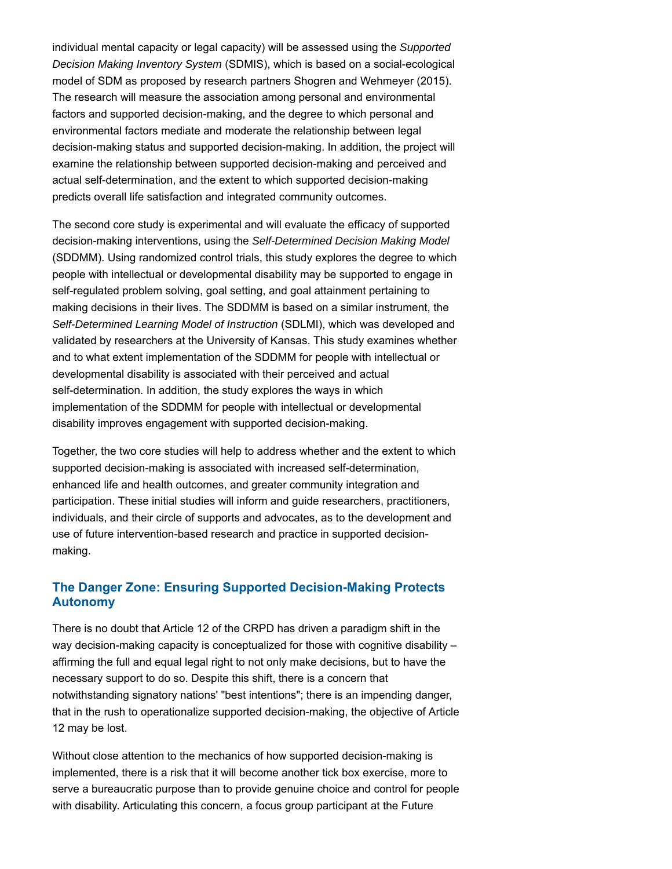individual mental capacity or legal capacity) will be assessed using the *Supported Decision Making Inventory System* (SDMIS), which is based on a social-ecological model of SDM as proposed by research partners Shogren and Wehmeyer (2015). The research will measure the association among personal and environmental factors and supported decision-making, and the degree to which personal and environmental factors mediate and moderate the relationship between legal decision-making status and supported decision-making. In addition, the project will examine the relationship between supported decision-making and perceived and actual self-determination, and the extent to which supported decision-making predicts overall life satisfaction and integrated community outcomes.

The second core study is experimental and will evaluate the efficacy of supported decision-making interventions, using the *Self-Determined Decision Making Model* (SDDMM). Using randomized control trials, this study explores the degree to which people with intellectual or developmental disability may be supported to engage in self-regulated problem solving, goal setting, and goal attainment pertaining to making decisions in their lives. The SDDMM is based on a similar instrument, the *Self-Determined Learning Model of Instruction* (SDLMI), which was developed and validated by researchers at the University of Kansas. This study examines whether and to what extent implementation of the SDDMM for people with intellectual or developmental disability is associated with their perceived and actual self-determination. In addition, the study explores the ways in which implementation of the SDDMM for people with intellectual or developmental disability improves engagement with supported decision-making.

Together, the two core studies will help to address whether and the extent to which supported decision-making is associated with increased self-determination, enhanced life and health outcomes, and greater community integration and participation. These initial studies will inform and guide researchers, practitioners, individuals, and their circle of supports and advocates, as to the development and use of future intervention-based research and practice in supported decisionmaking.

# **The Danger Zone: Ensuring Supported Decision-Making Protects Autonomy**

There is no doubt that Article 12 of the CRPD has driven a paradigm shift in the way decision-making capacity is conceptualized for those with cognitive disability – affirming the full and equal legal right to not only make decisions, but to have the necessary support to do so. Despite this shift, there is a concern that notwithstanding signatory nations' "best intentions"; there is an impending danger, that in the rush to operationalize supported decision-making, the objective of Article 12 may be lost.

Without close attention to the mechanics of how supported decision-making is implemented, there is a risk that it will become another tick box exercise, more to serve a bureaucratic purpose than to provide genuine choice and control for people with disability. Articulating this concern, a focus group participant at the Future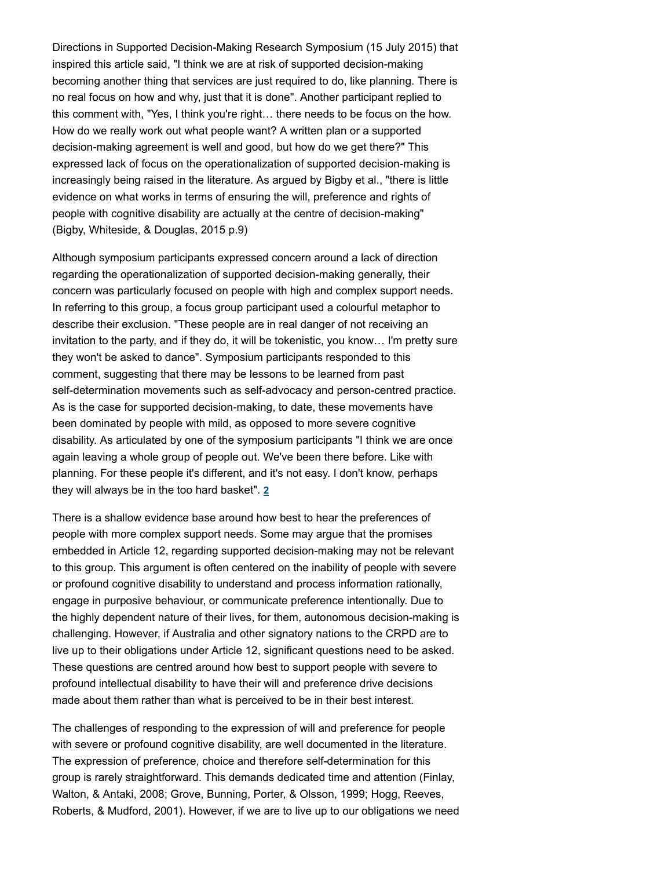Directions in Supported Decision-Making Research Symposium (15 July 2015) that inspired this article said, "I think we are at risk of supported decision-making becoming another thing that services are just required to do, like planning. There is no real focus on how and why, just that it is done". Another participant replied to this comment with, "Yes, I think you're right… there needs to be focus on the how. How do we really work out what people want? A written plan or a supported decision-making agreement is well and good, but how do we get there?" This expressed lack of focus on the operationalization of supported decision-making is increasingly being raised in the literature. As argued by Bigby et al., "there is little evidence on what works in terms of ensuring the will, preference and rights of people with cognitive disability are actually at the centre of decision-making" (Bigby, Whiteside, & Douglas, 2015 p.9)

Although symposium participants expressed concern around a lack of direction regarding the operationalization of supported decision-making generally, their concern was particularly focused on people with high and complex support needs. In referring to this group, a focus group participant used a colourful metaphor to describe their exclusion. "These people are in real danger of not receiving an invitation to the party, and if they do, it will be tokenistic, you know… I'm pretty sure they won't be asked to dance". Symposium participants responded to this comment, suggesting that there may be lessons to be learned from past self-determination movements such as self-advocacy and person-centred practice. As is the case for supported decision-making, to date, these movements have been dominated by people with mild, as opposed to more severe cognitive disability. As articulated by one of the symposium participants "I think we are once again leaving a whole group of people out. We've been there before. Like with planning. For these people it's different, and it's not easy. I don't know, perhaps they will always be in the too hard basket". **2**

There is a shallow evidence base around how best to hear the preferences of people with more complex support needs. Some may argue that the promises embedded in Article 12, regarding supported decision-making may not be relevant to this group. This argument is often centered on the inability of people with severe or profound cognitive disability to understand and process information rationally, engage in purposive behaviour, or communicate preference intentionally. Due to the highly dependent nature of their lives, for them, autonomous decision-making is challenging. However, if Australia and other signatory nations to the CRPD are to live up to their obligations under Article 12, significant questions need to be asked. These questions are centred around how best to support people with severe to profound intellectual disability to have their will and preference drive decisions made about them rather than what is perceived to be in their best interest.

The challenges of responding to the expression of will and preference for people with severe or profound cognitive disability, are well documented in the literature. The expression of preference, choice and therefore self-determination for this group is rarely straightforward. This demands dedicated time and attention (Finlay, Walton, & Antaki, 2008; Grove, Bunning, Porter, & Olsson, 1999; Hogg, Reeves, Roberts, & Mudford, 2001). However, if we are to live up to our obligations we need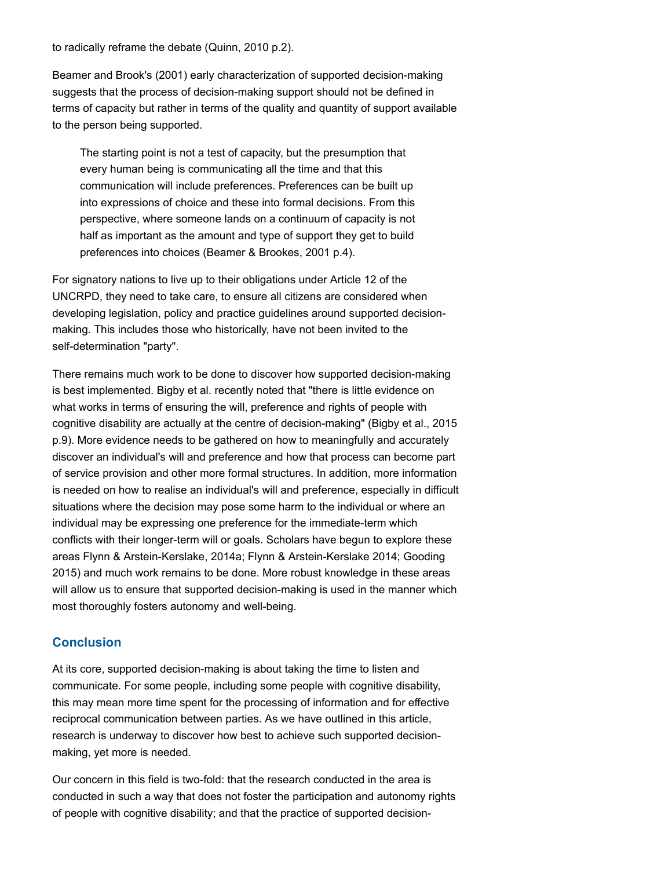to radically reframe the debate (Quinn, 2010 p.2).

Beamer and Brook's (2001) early characterization of supported decision-making suggests that the process of decision-making support should not be defined in terms of capacity but rather in terms of the quality and quantity of support available to the person being supported.

The starting point is not a test of capacity, but the presumption that every human being is communicating all the time and that this communication will include preferences. Preferences can be built up into expressions of choice and these into formal decisions. From this perspective, where someone lands on a continuum of capacity is not half as important as the amount and type of support they get to build preferences into choices (Beamer & Brookes, 2001 p.4).

For signatory nations to live up to their obligations under Article 12 of the UNCRPD, they need to take care, to ensure all citizens are considered when developing legislation, policy and practice guidelines around supported decisionmaking. This includes those who historically, have not been invited to the self-determination "party".

There remains much work to be done to discover how supported decision-making is best implemented. Bigby et al. recently noted that "there is little evidence on what works in terms of ensuring the will, preference and rights of people with cognitive disability are actually at the centre of decision-making" (Bigby et al., 2015 p.9). More evidence needs to be gathered on how to meaningfully and accurately discover an individual's will and preference and how that process can become part of service provision and other more formal structures. In addition, more information is needed on how to realise an individual's will and preference, especially in difficult situations where the decision may pose some harm to the individual or where an individual may be expressing one preference for the immediate-term which conflicts with their longer-term will or goals. Scholars have begun to explore these areas Flynn & Arstein-Kerslake, 2014a; Flynn & Arstein-Kerslake 2014; Gooding 2015) and much work remains to be done. More robust knowledge in these areas will allow us to ensure that supported decision-making is used in the manner which most thoroughly fosters autonomy and well-being.

#### **Conclusion**

At its core, supported decision-making is about taking the time to listen and communicate. For some people, including some people with cognitive disability, this may mean more time spent for the processing of information and for effective reciprocal communication between parties. As we have outlined in this article, research is underway to discover how best to achieve such supported decisionmaking, yet more is needed.

Our concern in this field is two-fold: that the research conducted in the area is conducted in such a way that does not foster the participation and autonomy rights of people with cognitive disability; and that the practice of supported decision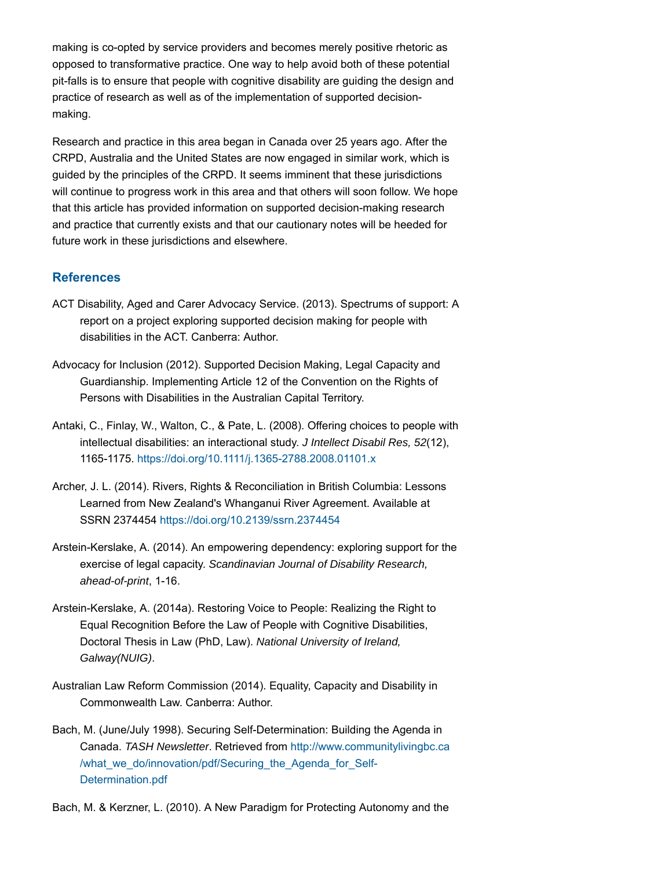making is co-opted by service providers and becomes merely positive rhetoric as opposed to transformative practice. One way to help avoid both of these potential pit-falls is to ensure that people with cognitive disability are guiding the design and practice of research as well as of the implementation of supported decisionmaking.

Research and practice in this area began in Canada over 25 years ago. After the CRPD, Australia and the United States are now engaged in similar work, which is guided by the principles of the CRPD. It seems imminent that these jurisdictions will continue to progress work in this area and that others will soon follow. We hope that this article has provided information on supported decision-making research and practice that currently exists and that our cautionary notes will be heeded for future work in these jurisdictions and elsewhere.

#### **References**

- ACT Disability, Aged and Carer Advocacy Service. (2013). Spectrums of support: A report on a project exploring supported decision making for people with disabilities in the ACT. Canberra: Author.
- Advocacy for Inclusion (2012). Supported Decision Making, Legal Capacity and Guardianship. Implementing Article 12 of the Convention on the Rights of Persons with Disabilities in the Australian Capital Territory.
- Antaki, C., Finlay, W., Walton, C., & Pate, L. (2008). Offering choices to people with intellectual disabilities: an interactional study. *J Intellect Disabil Res, 52*(12), 1165-1175. https://doi.org/10.1111/j.1365-2788.2008.01101.x
- Archer, J. L. (2014). Rivers, Rights & Reconciliation in British Columbia: Lessons Learned from New Zealand's Whanganui River Agreement. Available at SSRN 2374454 https://doi.org/10.2139/ssrn.2374454
- Arstein-Kerslake, A. (2014). An empowering dependency: exploring support for the exercise of legal capacity. *Scandinavian Journal of Disability Research, ahead-of-print*, 1-16.
- Arstein-Kerslake, A. (2014a). Restoring Voice to People: Realizing the Right to Equal Recognition Before the Law of People with Cognitive Disabilities, Doctoral Thesis in Law (PhD, Law). *National University of Ireland, Galway(NUIG)*.
- Australian Law Reform Commission (2014). Equality, Capacity and Disability in Commonwealth Law. Canberra: Author.
- Bach, M. (June/July 1998). Securing Self-Determination: Building the Agenda in Canada. *TASH Newsletter*. Retrieved from http://www.communitylivingbc.ca /what\_we\_do/innovation/pdf/Securing\_the\_Agenda\_for\_Self-Determination.pdf
- Bach, M. & Kerzner, L. (2010). A New Paradigm for Protecting Autonomy and the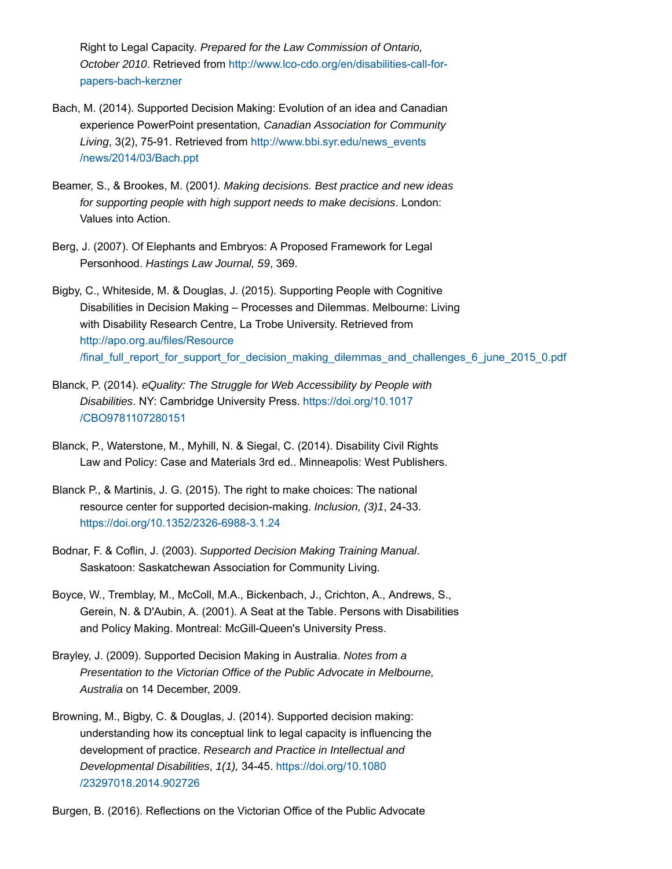Right to Legal Capacity*. Prepared for the Law Commission of Ontario, October 2010*. Retrieved from http://www.lco-cdo.org/en/disabilities-call-forpapers-bach-kerzner

- Bach, M. (2014). Supported Decision Making: Evolution of an idea and Canadian experience PowerPoint presentation*, Canadian Association for Community Living*, 3(2), 75-91. Retrieved from http://www.bbi.syr.edu/news\_events /news/2014/03/Bach.ppt
- Beamer, S., & Brookes, M. (2001*). Making decisions. Best practice and new ideas for supporting people with high support needs to make decisions*. London: Values into Action.
- Berg, J. (2007). Of Elephants and Embryos: A Proposed Framework for Legal Personhood. *Hastings Law Journal, 59*, 369.
- Bigby, C., Whiteside, M. & Douglas, J. (2015). Supporting People with Cognitive Disabilities in Decision Making – Processes and Dilemmas. Melbourne: Living with Disability Research Centre, La Trobe University. Retrieved from http://apo.org.au/files/Resource /final\_full\_report\_for\_support\_for\_decision\_making\_dilemmas\_and\_challenges\_6\_june\_2015\_0.pdf
- Blanck, P. (2014). *eQuality: The Struggle for Web Accessibility by People with Disabilities*. NY: Cambridge University Press. https://doi.org/10.1017 /CBO9781107280151
- Blanck, P., Waterstone, M., Myhill, N. & Siegal, C. (2014). Disability Civil Rights Law and Policy: Case and Materials 3rd ed.. Minneapolis: West Publishers.
- Blanck P., & Martinis, J. G. (2015). The right to make choices: The national resource center for supported decision-making. *Inclusion, (3)1*, 24-33. https://doi.org/10.1352/2326-6988-3.1.24
- Bodnar, F. & Coflin, J. (2003). *Supported Decision Making Training Manual*. Saskatoon: Saskatchewan Association for Community Living.
- Boyce, W., Tremblay, M., McColl, M.A., Bickenbach, J., Crichton, A., Andrews, S., Gerein, N. & D'Aubin, A. (2001). A Seat at the Table. Persons with Disabilities and Policy Making. Montreal: McGill-Queen's University Press.
- Brayley, J. (2009). Supported Decision Making in Australia. *Notes from a Presentation to the Victorian Office of the Public Advocate in Melbourne, Australia* on 14 December, 2009.
- Browning, M., Bigby, C. & Douglas, J. (2014). Supported decision making: understanding how its conceptual link to legal capacity is influencing the development of practice. *Research and Practice in Intellectual and Developmental Disabilities*, *1(1),* 34-45. https://doi.org/10.1080 /23297018.2014.902726

Burgen, B. (2016). Reflections on the Victorian Office of the Public Advocate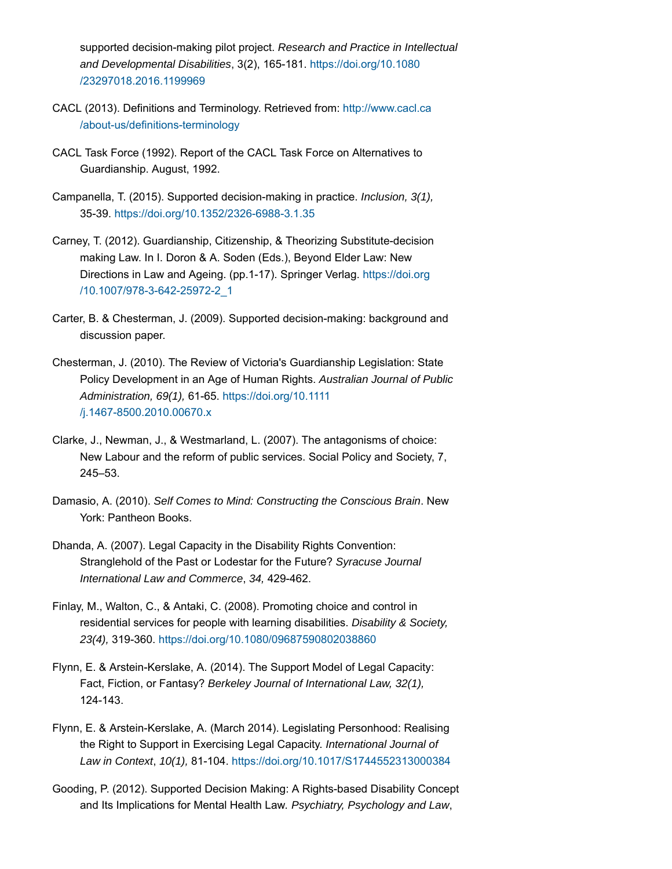supported decision-making pilot project. *Research and Practice in Intellectual and Developmental Disabilities*, 3(2), 165-181. https://doi.org/10.1080 /23297018.2016.1199969

- CACL (2013). Definitions and Terminology. Retrieved from: http://www.cacl.ca /about-us/definitions-terminology
- CACL Task Force (1992). Report of the CACL Task Force on Alternatives to Guardianship. August, 1992.
- Campanella, T. (2015). Supported decision-making in practice. *Inclusion, 3(1),* 35-39. https://doi.org/10.1352/2326-6988-3.1.35
- Carney, T. (2012). Guardianship, Citizenship, & Theorizing Substitute-decision making Law. In I. Doron & A. Soden (Eds.), Beyond Elder Law: New Directions in Law and Ageing. (pp.1-17). Springer Verlag. https://doi.org /10.1007/978-3-642-25972-2\_1
- Carter, B. & Chesterman, J. (2009). Supported decision-making: background and discussion paper.
- Chesterman, J. (2010). The Review of Victoria's Guardianship Legislation: State Policy Development in an Age of Human Rights. *Australian Journal of Public Administration, 69(1),* 61-65. https://doi.org/10.1111 /j.1467-8500.2010.00670.x
- Clarke, J., Newman, J., & Westmarland, L. (2007). The antagonisms of choice: New Labour and the reform of public services. Social Policy and Society, 7, 245–53.
- Damasio, A. (2010). *Self Comes to Mind: Constructing the Conscious Brain*. New York: Pantheon Books.
- Dhanda, A. (2007). Legal Capacity in the Disability Rights Convention: Stranglehold of the Past or Lodestar for the Future? *Syracuse Journal International Law and Commerce*, *34,* 429-462.
- Finlay, M., Walton, C., & Antaki, C. (2008). Promoting choice and control in residential services for people with learning disabilities. *Disability & Society, 23(4),* 319-360. https://doi.org/10.1080/09687590802038860
- Flynn, E. & Arstein-Kerslake, A. (2014). The Support Model of Legal Capacity: Fact, Fiction, or Fantasy? *Berkeley Journal of International Law, 32(1),* 124-143.
- Flynn, E. & Arstein-Kerslake, A. (March 2014). Legislating Personhood: Realising the Right to Support in Exercising Legal Capacity. *International Journal of Law in Context*, *10(1),* 81-104. https://doi.org/10.1017/S1744552313000384
- Gooding, P. (2012). Supported Decision Making: A Rights-based Disability Concept and Its Implications for Mental Health Law*. Psychiatry, Psychology and Law*,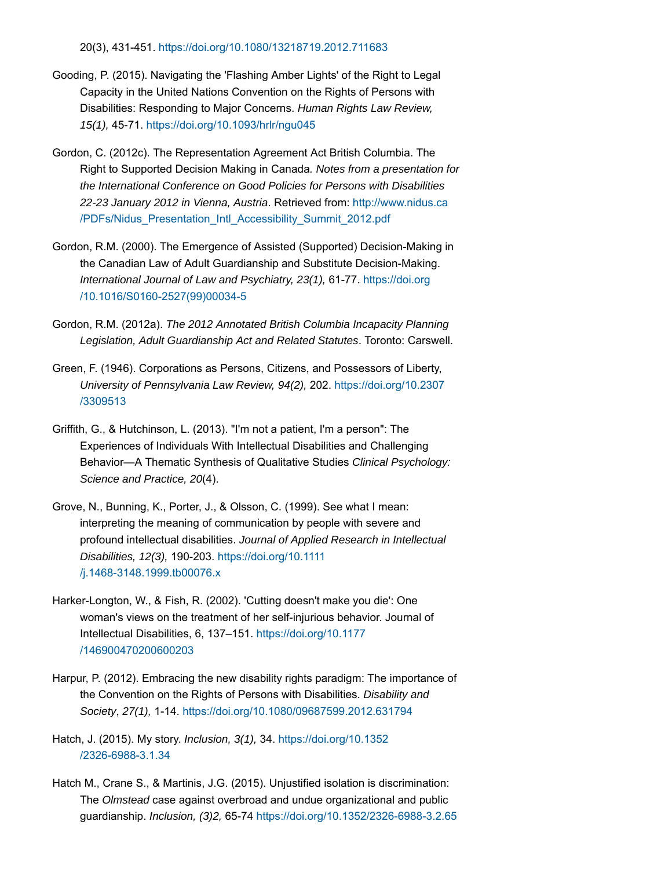20(3), 431-451. https://doi.org/10.1080/13218719.2012.711683

- Gooding, P. (2015). Navigating the 'Flashing Amber Lights' of the Right to Legal Capacity in the United Nations Convention on the Rights of Persons with Disabilities: Responding to Major Concerns. *Human Rights Law Review, 15(1),* 45-71. https://doi.org/10.1093/hrlr/ngu045
- Gordon, C. (2012c). The Representation Agreement Act British Columbia. The Right to Supported Decision Making in Canada*. Notes from a presentation for the International Conference on Good Policies for Persons with Disabilities 22-23 January 2012 in Vienna, Austria*. Retrieved from: http://www.nidus.ca /PDFs/Nidus\_Presentation\_Intl\_Accessibility\_Summit\_2012.pdf
- Gordon, R.M. (2000). The Emergence of Assisted (Supported) Decision-Making in the Canadian Law of Adult Guardianship and Substitute Decision-Making. *International Journal of Law and Psychiatry, 23(1),* 61-77. https://doi.org /10.1016/S0160-2527(99)00034-5
- Gordon, R.M. (2012a). *The 2012 Annotated British Columbia Incapacity Planning Legislation, Adult Guardianship Act and Related Statutes*. Toronto: Carswell.
- Green, F. (1946). Corporations as Persons, Citizens, and Possessors of Liberty, *University of Pennsylvania Law Review, 94(2),* 202. https://doi.org/10.2307 /3309513
- Griffith, G., & Hutchinson, L. (2013). "I'm not a patient, I'm a person": The Experiences of Individuals With Intellectual Disabilities and Challenging Behavior—A Thematic Synthesis of Qualitative Studies *Clinical Psychology: Science and Practice, 20*(4).
- Grove, N., Bunning, K., Porter, J., & Olsson, C. (1999). See what I mean: interpreting the meaning of communication by people with severe and profound intellectual disabilities. *Journal of Applied Research in Intellectual Disabilities, 12(3),* 190-203. https://doi.org/10.1111 /j.1468-3148.1999.tb00076.x
- Harker-Longton, W., & Fish, R. (2002). 'Cutting doesn't make you die': One woman's views on the treatment of her self-injurious behavior. Journal of Intellectual Disabilities, 6, 137–151. https://doi.org/10.1177 /146900470200600203
- Harpur, P. (2012). Embracing the new disability rights paradigm: The importance of the Convention on the Rights of Persons with Disabilities. *Disability and Society*, *27(1),* 1-14. https://doi.org/10.1080/09687599.2012.631794
- Hatch, J. (2015). My story. *Inclusion, 3(1),* 34. https://doi.org/10.1352 /2326-6988-3.1.34
- Hatch M., Crane S., & Martinis, J.G. (2015). Unjustified isolation is discrimination: The *Olmstead* case against overbroad and undue organizational and public guardianship. *Inclusion, (3)2,* 65-74 https://doi.org/10.1352/2326-6988-3.2.65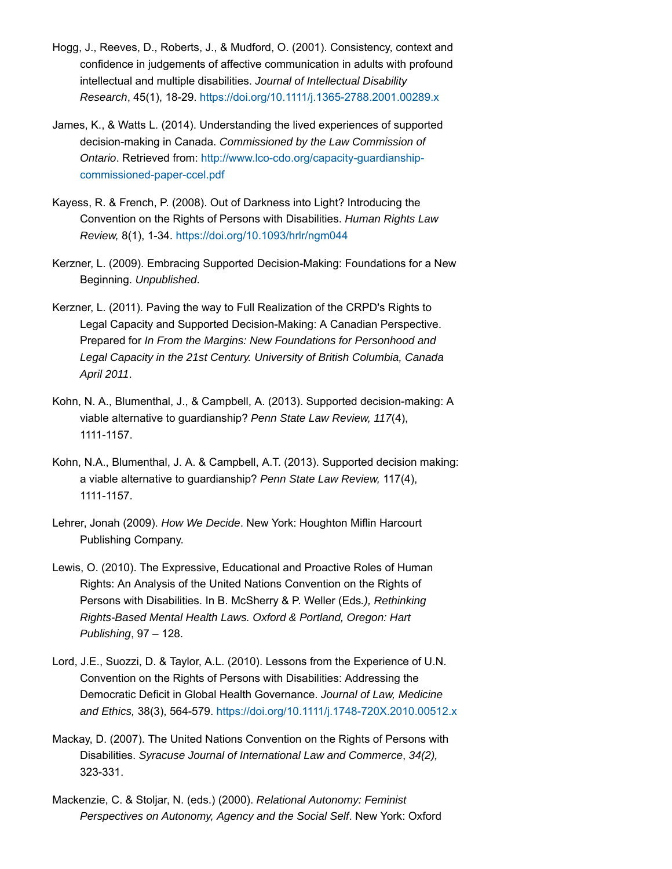- Hogg, J., Reeves, D., Roberts, J., & Mudford, O. (2001). Consistency, context and confidence in judgements of affective communication in adults with profound intellectual and multiple disabilities. *Journal of Intellectual Disability Research*, 45(1), 18-29. https://doi.org/10.1111/j.1365-2788.2001.00289.x
- James, K., & Watts L. (2014). Understanding the lived experiences of supported decision-making in Canada. *Commissioned by the Law Commission of Ontario*. Retrieved from: http://www.lco-cdo.org/capacity-guardianshipcommissioned-paper-ccel.pdf
- Kayess, R. & French, P. (2008). Out of Darkness into Light? Introducing the Convention on the Rights of Persons with Disabilities. *Human Rights Law Review,* 8(1), 1-34. https://doi.org/10.1093/hrlr/ngm044
- Kerzner, L. (2009). Embracing Supported Decision-Making: Foundations for a New Beginning. *Unpublished*.
- Kerzner, L. (2011). Paving the way to Full Realization of the CRPD's Rights to Legal Capacity and Supported Decision-Making: A Canadian Perspective. Prepared for *In From the Margins: New Foundations for Personhood and Legal Capacity in the 21st Century. University of British Columbia, Canada April 2011*.
- Kohn, N. A., Blumenthal, J., & Campbell, A. (2013). Supported decision-making: A viable alternative to guardianship? *Penn State Law Review, 117*(4), 1111-1157.
- Kohn, N.A., Blumenthal, J. A. & Campbell, A.T. (2013). Supported decision making: a viable alternative to guardianship? *Penn State Law Review,* 117(4), 1111-1157.
- Lehrer, Jonah (2009). *How We Decide*. New York: Houghton Miflin Harcourt Publishing Company.
- Lewis, O. (2010). The Expressive, Educational and Proactive Roles of Human Rights: An Analysis of the United Nations Convention on the Rights of Persons with Disabilities. In B. McSherry & P. Weller (Eds*.), Rethinking Rights-Based Mental Health Laws. Oxford & Portland, Oregon: Hart Publishing*, 97 – 128.
- Lord, J.E., Suozzi, D. & Taylor, A.L. (2010). Lessons from the Experience of U.N. Convention on the Rights of Persons with Disabilities: Addressing the Democratic Deficit in Global Health Governance. *Journal of Law, Medicine and Ethics,* 38(3), 564-579. https://doi.org/10.1111/j.1748-720X.2010.00512.x
- Mackay, D. (2007). The United Nations Convention on the Rights of Persons with Disabilities. *Syracuse Journal of International Law and Commerce*, *34(2),* 323-331.
- Mackenzie, C. & Stoljar, N. (eds.) (2000). *Relational Autonomy: Feminist Perspectives on Autonomy, Agency and the Social Self*. New York: Oxford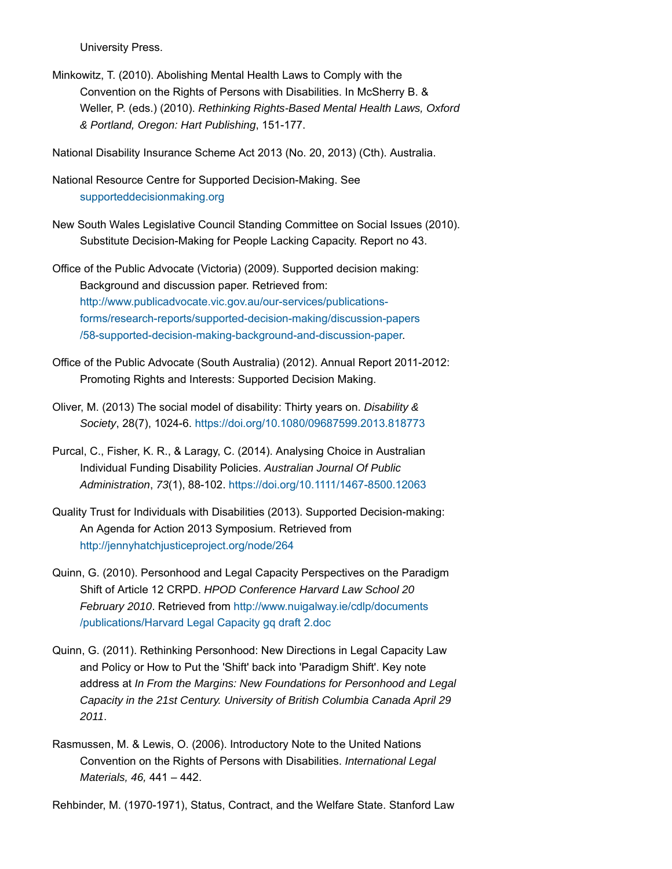University Press.

Minkowitz, T. (2010). Abolishing Mental Health Laws to Comply with the Convention on the Rights of Persons with Disabilities. In McSherry B. & Weller, P. (eds.) (2010). *Rethinking Rights-Based Mental Health Laws, Oxford & Portland, Oregon: Hart Publishing*, 151-177.

National Disability Insurance Scheme Act 2013 (No. 20, 2013) (Cth). Australia.

National Resource Centre for Supported Decision-Making. See supporteddecisionmaking.org

New South Wales Legislative Council Standing Committee on Social Issues (2010). Substitute Decision-Making for People Lacking Capacity. Report no 43.

Office of the Public Advocate (Victoria) (2009). Supported decision making: Background and discussion paper. Retrieved from: http://www.publicadvocate.vic.gov.au/our-services/publicationsforms/research-reports/supported-decision-making/discussion-papers /58-supported-decision-making-background-and-discussion-paper.

- Office of the Public Advocate (South Australia) (2012). Annual Report 2011-2012: Promoting Rights and Interests: Supported Decision Making.
- Oliver, M. (2013) The social model of disability: Thirty years on. *Disability & Society*, 28(7), 1024-6. https://doi.org/10.1080/09687599.2013.818773
- Purcal, C., Fisher, K. R., & Laragy, C. (2014). Analysing Choice in Australian Individual Funding Disability Policies. *Australian Journal Of Public Administration*, *73*(1), 88-102. https://doi.org/10.1111/1467-8500.12063
- Quality Trust for Individuals with Disabilities (2013). Supported Decision-making: An Agenda for Action 2013 Symposium. Retrieved from http://jennyhatchjusticeproject.org/node/264
- Quinn, G. (2010). Personhood and Legal Capacity Perspectives on the Paradigm Shift of Article 12 CRPD. *HPOD Conference Harvard Law School 20 February 2010*. Retrieved from http://www.nuigalway.ie/cdlp/documents /publications/Harvard Legal Capacity gq draft 2.doc
- Quinn, G. (2011). Rethinking Personhood: New Directions in Legal Capacity Law and Policy or How to Put the 'Shift' back into 'Paradigm Shift'. Key note address at *In From the Margins: New Foundations for Personhood and Legal Capacity in the 21st Century. University of British Columbia Canada April 29 2011*.
- Rasmussen, M. & Lewis, O. (2006). Introductory Note to the United Nations Convention on the Rights of Persons with Disabilities. *International Legal Materials, 46,* 441 – 442.

Rehbinder, M. (1970-1971), Status, Contract, and the Welfare State. Stanford Law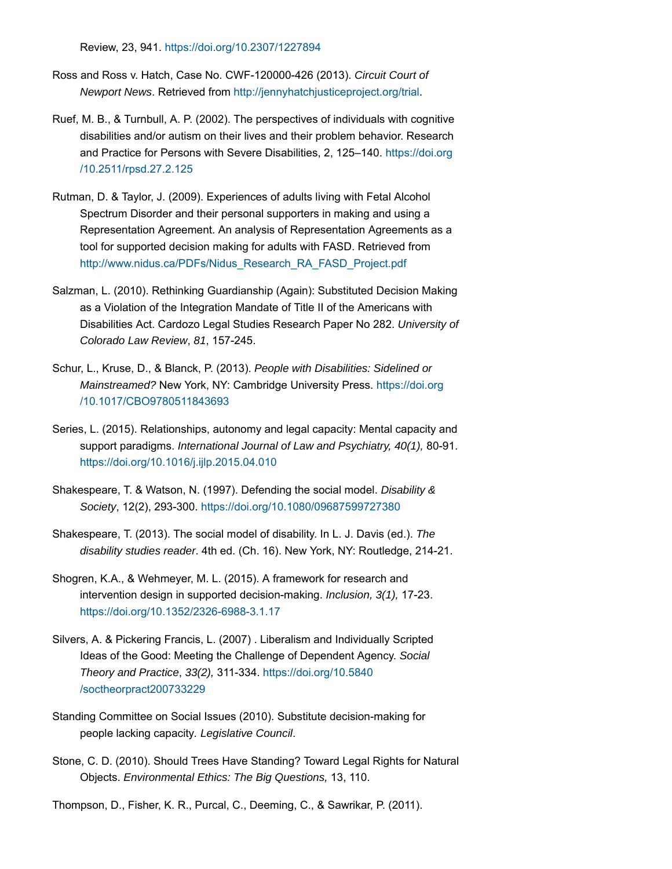Review, 23, 941. https://doi.org/10.2307/1227894

- Ross and Ross v. Hatch, Case No. CWF-120000-426 (2013). *Circuit Court of Newport News*. Retrieved from http://jennyhatchjusticeproject.org/trial.
- Ruef, M. B., & Turnbull, A. P. (2002). The perspectives of individuals with cognitive disabilities and/or autism on their lives and their problem behavior. Research and Practice for Persons with Severe Disabilities, 2, 125–140. https://doi.org /10.2511/rpsd.27.2.125
- Rutman, D. & Taylor, J. (2009). Experiences of adults living with Fetal Alcohol Spectrum Disorder and their personal supporters in making and using a Representation Agreement. An analysis of Representation Agreements as a tool for supported decision making for adults with FASD. Retrieved from http://www.nidus.ca/PDFs/Nidus\_Research\_RA\_FASD\_Project.pdf
- Salzman, L. (2010). Rethinking Guardianship (Again): Substituted Decision Making as a Violation of the Integration Mandate of Title II of the Americans with Disabilities Act. Cardozo Legal Studies Research Paper No 282. *University of Colorado Law Review*, *81*, 157-245.
- Schur, L., Kruse, D., & Blanck, P. (2013). *People with Disabilities: Sidelined or Mainstreamed?* New York, NY: Cambridge University Press. https://doi.org /10.1017/CBO9780511843693
- Series, L. (2015). Relationships, autonomy and legal capacity: Mental capacity and support paradigms. *International Journal of Law and Psychiatry, 40(1),* 80-91. https://doi.org/10.1016/j.ijlp.2015.04.010
- Shakespeare, T. & Watson, N. (1997). Defending the social model. *Disability & Society*, 12(2), 293-300. https://doi.org/10.1080/09687599727380
- Shakespeare, T. (2013). The social model of disability. In L. J. Davis (ed.). *The disability studies reader*. 4th ed. (Ch. 16). New York, NY: Routledge, 214-21.
- Shogren, K.A., & Wehmeyer, M. L. (2015). A framework for research and intervention design in supported decision-making. *Inclusion, 3(1),* 17-23. https://doi.org/10.1352/2326-6988-3.1.17
- Silvers, A. & Pickering Francis, L. (2007) . Liberalism and Individually Scripted Ideas of the Good: Meeting the Challenge of Dependent Agency. *Social Theory and Practice*, *33(2),* 311-334. https://doi.org/10.5840 /soctheorpract200733229
- Standing Committee on Social Issues (2010). Substitute decision-making for people lacking capacity*. Legislative Council*.
- Stone, C. D. (2010). Should Trees Have Standing? Toward Legal Rights for Natural Objects. *Environmental Ethics: The Big Questions,* 13, 110.
- Thompson, D., Fisher, K. R., Purcal, C., Deeming, C., & Sawrikar, P. (2011).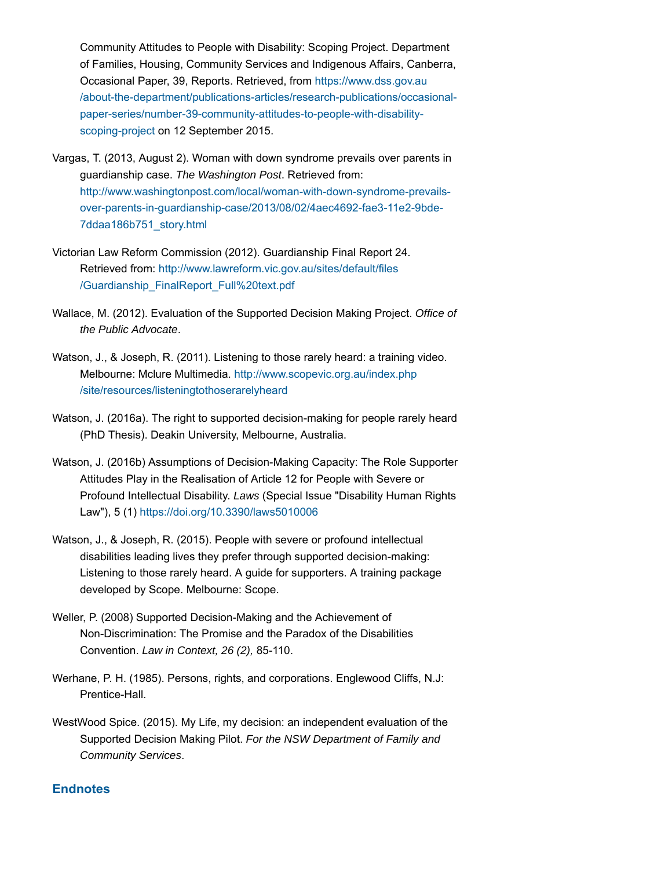Community Attitudes to People with Disability: Scoping Project. Department of Families, Housing, Community Services and Indigenous Affairs, Canberra, Occasional Paper, 39, Reports. Retrieved, from https://www.dss.gov.au /about-the-department/publications-articles/research-publications/occasionalpaper-series/number-39-community-attitudes-to-people-with-disabilityscoping-project on 12 September 2015.

- Vargas, T. (2013, August 2). Woman with down syndrome prevails over parents in guardianship case. *The Washington Post*. Retrieved from: http://www.washingtonpost.com/local/woman-with-down-syndrome-prevailsover-parents-in-guardianship-case/2013/08/02/4aec4692-fae3-11e2-9bde-7ddaa186b751\_story.html
- Victorian Law Reform Commission (2012). Guardianship Final Report 24. Retrieved from: http://www.lawreform.vic.gov.au/sites/default/files /Guardianship\_FinalReport\_Full%20text.pdf
- Wallace, M. (2012). Evaluation of the Supported Decision Making Project. *Office of the Public Advocate*.
- Watson, J., & Joseph, R. (2011). Listening to those rarely heard: a training video. Melbourne: Mclure Multimedia. http://www.scopevic.org.au/index.php /site/resources/listeningtothoserarelyheard
- Watson, J. (2016a). The right to supported decision-making for people rarely heard (PhD Thesis). Deakin University, Melbourne, Australia.
- Watson, J. (2016b) Assumptions of Decision-Making Capacity: The Role Supporter Attitudes Play in the Realisation of Article 12 for People with Severe or Profound Intellectual Disability. *Laws* (Special Issue "Disability Human Rights Law"), 5 (1) https://doi.org/10.3390/laws5010006
- Watson, J., & Joseph, R. (2015). People with severe or profound intellectual disabilities leading lives they prefer through supported decision-making: Listening to those rarely heard. A guide for supporters. A training package developed by Scope. Melbourne: Scope.
- Weller, P. (2008) Supported Decision-Making and the Achievement of Non-Discrimination: The Promise and the Paradox of the Disabilities Convention. *Law in Context, 26 (2),* 85-110.
- Werhane, P. H. (1985). Persons, rights, and corporations. Englewood Cliffs, N.J: Prentice-Hall.
- WestWood Spice. (2015). My Life, my decision: an independent evaluation of the Supported Decision Making Pilot. *For the NSW Department of Family and Community Services*.

# **Endnotes**